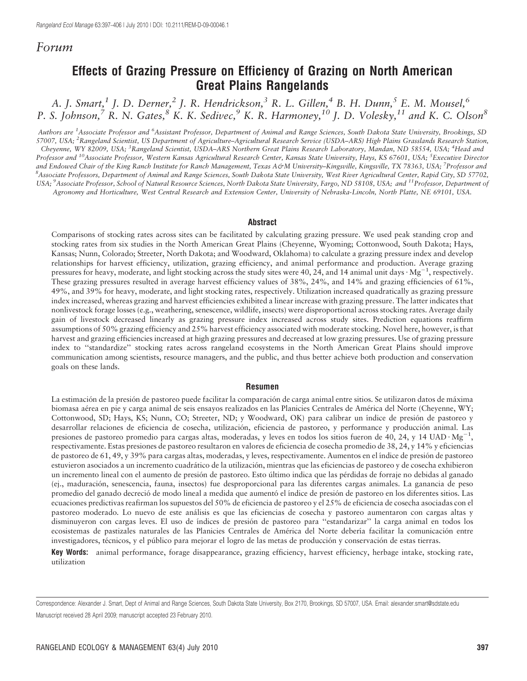# Forum

# Effects of Grazing Pressure on Efficiency of Grazing on North American Great Plains Rangelands

A. J. Smart,<sup>1</sup> J. D. Derner,<sup>2</sup> J. R. Hendrickson,<sup>3</sup> R. L. Gillen,<sup>4</sup> B. H. Dunn,<sup>5</sup> E. M. Mousel,<sup>6</sup> P. S. Johnson,  $\overline{7}$  R. N. Gates,  $\overline{8}$  K. K. Sedivec,  $\overline{9}$  K. R. Harmoney,  $\overline{10}$  J. D. Volesky,  $\overline{11}$  and K. C. Olson $\overline{8}$ 

Authors are <sup>1</sup>Associate Professor and <sup>6</sup>Assistant Professor, Department of Animal and Range Sciences, South Dakota State University, Brookings, SD 57007, USA; <sup>2</sup>Rangeland Scientist, US Department of Agriculture–Agricultural Research Service (USDA–ARS) High Plains Grasslands Research Station, Cheyenne, WY 82009, USA; <sup>3</sup>Rangeland Scientist, USDA-ARS Northern Great Plains Research Laboratory, Mandan, ND 58554, USA; <sup>4</sup>Head and Professor and <sup>10</sup>Associate Professor, Western Kansas Agricultural Research Center, Kansas State University, Hays, KS 67601, USA; <sup>5</sup>Executive Director and Endowed Chair of the King Ranch Institute for Ranch Management, Texas A&M University–Kingsville, Kingsville, TX 78363, USA; <sup>7</sup>Professor and<br><sup>8</sup> Accociate Professors, Department of Animal and Range Sciences, South Dabo Associate Professors, Department of Animal and Range Sciences, South Dakota State University, West River Agricultural Center, Rapid City, SD 57702, USA; <sup>9</sup> Associate Professor, School of Natural Resource Sciences, North Dakota State University, Fargo, ND 58108, USA; and <sup>11</sup> Professor, Department of Agronomy and Horticulture, West Central Research and Extension Center, University of Nebraska-Lincoln, North Platte, NE 69101, USA.

#### Abstract

Comparisons of stocking rates across sites can be facilitated by calculating grazing pressure. We used peak standing crop and stocking rates from six studies in the North American Great Plains (Cheyenne, Wyoming; Cottonwood, South Dakota; Hays, Kansas; Nunn, Colorado; Streeter, North Dakota; and Woodward, Oklahoma) to calculate a grazing pressure index and develop relationships for harvest efficiency, utilization, grazing efficiency, and animal performance and production. Average grazing pressures for heavy, moderate, and light stocking across the study sites were 40, 24, and 14 animal unit days  $\cdot$  Mg<sup>-1</sup>, respectively. These grazing pressures resulted in average harvest efficiency values of 38%, 24%, and 14% and grazing efficiencies of 61%, 49%, and 39% for heavy, moderate, and light stocking rates, respectively. Utilization increased quadratically as grazing pressure index increased, whereas grazing and harvest efficiencies exhibited a linear increase with grazing pressure. The latter indicates that nonlivestock forage losses (e.g., weathering, senescence, wildlife, insects) were disproportional across stocking rates. Average daily gain of livestock decreased linearly as grazing pressure index increased across study sites. Prediction equations reaffirm assumptions of 50% grazing efficiency and 25% harvest efficiency associated with moderate stocking. Novel here, however, is that harvest and grazing efficiencies increased at high grazing pressures and decreased at low grazing pressures. Use of grazing pressure index to ''standardize'' stocking rates across rangeland ecosystems in the North American Great Plains should improve communication among scientists, resource managers, and the public, and thus better achieve both production and conservation goals on these lands.

#### Resumen

La estimación de la presión de pastoreo puede facilitar la comparación de carga animal entre sitios. Se utilizaron datos de máxima biomasa aérea en pie y carga animal de seis ensayos realizados en las Planicies Centrales de América del Norte (Cheyenne, WY; Cottonwood, SD; Hays, KS; Nunn, CO; Streeter, ND; y Woodward, OK) para calibrar un índice de presión de pastoreo y desarrollar relaciones de eficiencia de cosecha, utilización, eficiencia de pastoreo, y performance y producción animal. Las presiones de pastoreo promedio para cargas altas, moderadas, y leves en todos los sitios fueron de 40, 24, y 14 UAD·Mg<sup>-1</sup>, respectivamente. Estas presiones de pastoreo resultaron en valores de eficiencia de cosecha promedio de 38, 24, y 14% y eficiencias de pastoreo de 61, 49, y 39% para cargas altas, moderadas, y leves, respectivamente. Aumentos en el índice de presión de pastoreo estuvieron asociados a un incremento cuadrático de la utilización, mientras que las eficiencias de pastoreo y de cosecha exhibieron un incremento lineal con el aumento de presión de pastoreo. Esto último indica que las pérdidas de forraje no debidas al ganado (ej., maduracio´n, senescencia, fauna, insectos) fue desproporcional para las diferentes cargas animales. La ganancia de peso promedio del ganado decreció de modo lineal a medida que aumentó el índice de presión de pastoreo en los diferentes sitios. Las ecuaciones predictivas reafirman los supuestos del 50% de eficiencia de pastoreo y el 25% de eficiencia de cosecha asociadas con el pastoreo moderado. Lo nuevo de este análisis es que las eficiencias de cosecha y pastoreo aumentaron con cargas altas y disminuyeron con cargas leves. El uso de índices de presión de pastoreo para "estandarizar" la carga animal en todos los ecosistemas de pastizales naturales de las Planicies Centrales de América del Norte debería facilitar la comunicación entre investigadores, técnicos, y el público para mejorar el logro de las metas de producción y conservación de estas tierras.

Key Words: animal performance, forage disappearance, grazing efficiency, harvest efficiency, herbage intake, stocking rate, utilization

Correspondence: Alexander J. Smart, Dept of Animal and Range Sciences, South Dakota State University, Box 2170, Brookings, SD 57007, USA. Email: alexander.smart@sdstate.edu Manuscript received 28 April 2009; manuscript accepted 23 February 2010.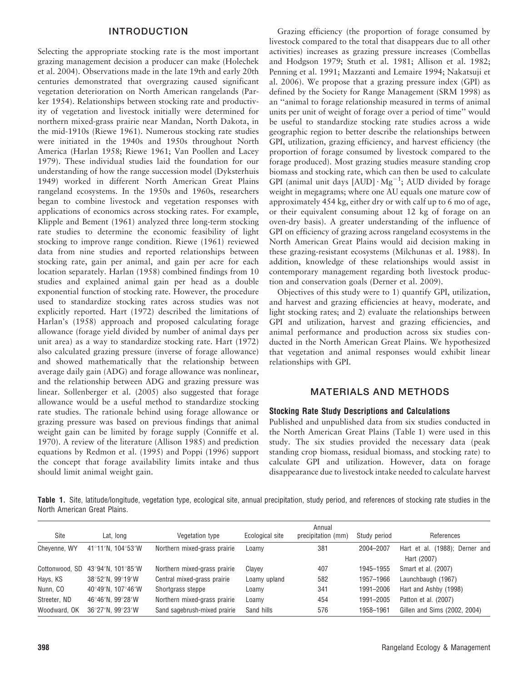#### INTRODUCTION

Selecting the appropriate stocking rate is the most important grazing management decision a producer can make (Holechek et al. 2004). Observations made in the late 19th and early 20th centuries demonstrated that overgrazing caused significant vegetation deterioration on North American rangelands (Parker 1954). Relationships between stocking rate and productivity of vegetation and livestock initially were determined for northern mixed-grass prairie near Mandan, North Dakota, in the mid-1910s (Riewe 1961). Numerous stocking rate studies were initiated in the 1940s and 1950s throughout North America (Harlan 1958; Riewe 1961; Van Poollen and Lacey 1979). These individual studies laid the foundation for our understanding of how the range succession model (Dyksterhuis 1949) worked in different North American Great Plains rangeland ecosystems. In the 1950s and 1960s, researchers began to combine livestock and vegetation responses with applications of economics across stocking rates. For example, Klipple and Bement (1961) analyzed three long-term stocking rate studies to determine the economic feasibility of light stocking to improve range condition. Riewe (1961) reviewed data from nine studies and reported relationships between stocking rate, gain per animal, and gain per acre for each location separately. Harlan (1958) combined findings from 10 studies and explained animal gain per head as a double exponential function of stocking rate. However, the procedure used to standardize stocking rates across studies was not explicitly reported. Hart (1972) described the limitations of Harlan's (1958) approach and proposed calculating forage allowance (forage yield divided by number of animal days per unit area) as a way to standardize stocking rate. Hart (1972) also calculated grazing pressure (inverse of forage allowance) and showed mathematically that the relationship between average daily gain (ADG) and forage allowance was nonlinear, and the relationship between ADG and grazing pressure was linear. Sollenberger et al. (2005) also suggested that forage allowance would be a useful method to standardize stocking rate studies. The rationale behind using forage allowance or grazing pressure was based on previous findings that animal weight gain can be limited by forage supply (Conniffe et al. 1970). A review of the literature (Allison 1985) and prediction equations by Redmon et al. (1995) and Poppi (1996) support the concept that forage availability limits intake and thus should limit animal weight gain.

Grazing efficiency (the proportion of forage consumed by livestock compared to the total that disappears due to all other activities) increases as grazing pressure increases (Combellas and Hodgson 1979; Stuth et al. 1981; Allison et al. 1982; Penning et al. 1991; Mazzanti and Lemaire 1994; Nakatsuji et al. 2006). We propose that a grazing pressure index (GPI) as defined by the Society for Range Management (SRM 1998) as an ''animal to forage relationship measured in terms of animal units per unit of weight of forage over a period of time'' would be useful to standardize stocking rate studies across a wide geographic region to better describe the relationships between GPI, utilization, grazing efficiency, and harvest efficiency (the proportion of forage consumed by livestock compared to the forage produced). Most grazing studies measure standing crop biomass and stocking rate, which can then be used to calculate GPI (animal unit days  $[{\rm AUD}] \cdot {\rm Mg}^{-1}$ ; AUD divided by forage weight in megagrams; where one AU equals one mature cow of approximately 454 kg, either dry or with calf up to 6 mo of age, or their equivalent consuming about 12 kg of forage on an oven-dry basis). A greater understanding of the influence of GPI on efficiency of grazing across rangeland ecosystems in the North American Great Plains would aid decision making in these grazing-resistant ecosystems (Milchunas et al. 1988). In addition, knowledge of these relationships would assist in contemporary management regarding both livestock production and conservation goals (Derner et al. 2009).

Objectives of this study were to 1) quantify GPI, utilization, and harvest and grazing efficiencies at heavy, moderate, and light stocking rates; and 2) evaluate the relationships between GPI and utilization, harvest and grazing efficiencies, and animal performance and production across six studies conducted in the North American Great Plains. We hypothesized that vegetation and animal responses would exhibit linear relationships with GPI.

### MATERIALS AND METHODS

#### Stocking Rate Study Descriptions and Calculations

Published and unpublished data from six studies conducted in the North American Great Plains (Table 1) were used in this study. The six studies provided the necessary data (peak standing crop biomass, residual biomass, and stocking rate) to calculate GPI and utilization. However, data on forage disappearance due to livestock intake needed to calculate harvest

Table 1. Site, latitude/longitude, vegetation type, ecological site, annual precipitation, study period, and references of stocking rate studies in the North American Great Plains.

|                |                                       |                              |                 | Annual             |              |                                |
|----------------|---------------------------------------|------------------------------|-----------------|--------------------|--------------|--------------------------------|
| Site           | Lat, long                             | Vegetation type              | Ecological site | precipitation (mm) | Study period | References                     |
| Chevenne, WY   | 41°11′N. 104°53′W                     | Northern mixed-grass prairie | Loamy           | 381                | 2004-2007    | Hart et al. (1988); Derner and |
|                |                                       |                              |                 |                    |              | Hart (2007)                    |
| Cottonwood, SD | 43°94'N. 101°85'W                     | Northern mixed-grass prairie | Clavev          | 407                | 1945-1955    | Smart et al. (2007)            |
| Hays, KS       | 38°52'N, 99°19'W                      | Central mixed-grass prairie  | Loamy upland    | 582                | 1957-1966    | Launchbaugh (1967)             |
| Nunn, CO       | 40°49'N, 107°46'W                     | Shortgrass steppe            | Loamy           | 341                | 1991-2006    | Hart and Ashby (1998)          |
| Streeter, ND   | $46^{\circ}46'$ N. 99 $^{\circ}28'$ W | Northern mixed-grass prairie | Loamy           | 454                | 1991-2005    | Patton et al. (2007)           |
| Woodward, OK   | 36°27'N, 99°23'W                      | Sand sagebrush-mixed prairie | Sand hills      | 576                | 1958-1961    | Gillen and Sims (2002, 2004)   |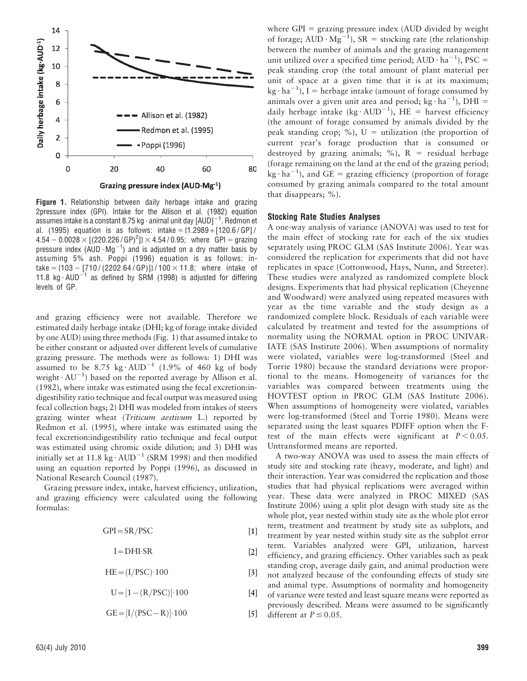

Figure 1. Relationship between daily herbage intake and grazing 2pressure index (GPI). Intake for the Allison et al. (1982) equation assumes intake is a constant 8.75 kg  $\cdot$  animal unit day [AUD] $^{-1}$ . Redmon et al. (1995) equation is as follows: intake =  ${1.2989 + [120.6 / GP]}/$  $4.54 - 0.0028 \times [(220.226/GP)^2] \times 4.54/0.95$ ; where GPI = grazing pressure index (AUD  $\cdot$  Mg<sup>-1</sup>) and is adjusted on a dry matter basis by assuming 5% ash. Poppi (1996) equation is as follows: intake =  ${103 - [710 / (2202.64 / GP)]} / 100 \times 11.8$ ; where intake of 11.8 kg $\cdot$ AUD<sup>-1</sup> as defined by SRM (1998) is adjusted for differing levels of GP.

and grazing efficiency were not available. Therefore we estimated daily herbage intake (DHI; kg of forage intake divided by one AUD) using three methods (Fig. 1) that assumed intake to be either constant or adjusted over different levels of cumulative grazing pressure. The methods were as follows: 1) DHI was assumed to be 8.75 kg $\cdot$  AUD<sup>-1</sup> (1.9% of 460 kg of body weight  $\cdot$  AU<sup>-1</sup>) based on the reported average by Allison et al. (1982), where intake was estimated using the fecal excretion:indigestibility ratio technique and fecal output was measured using fecal collection bags; 2) DHI was modeled from intakes of steers grazing winter wheat (Triticum aestivum L.) reported by Redmon et al. (1995), where intake was estimated using the fecal excretion:indigestibility ratio technique and fecal output was estimated using chromic oxide dilution; and 3) DHI was initially set at 11.8 kg $\cdot$  AUD<sup>-1</sup> (SRM 1998) and then modified using an equation reported by Poppi (1996), as discussed in National Research Council (1987).

Grazing pressure index, intake, harvest efficiency, utilization, and grazing efficiency were calculated using the following formulas:

 $GPI = SR/PSC$  [1]

 $I=DHI·SR$  [2]

$$
HE = (I/PSC) \cdot 100
$$
 [3]

 $U=[1-(R/PSC)] \cdot 100$  [4]

$$
GE = [I/(PSC - R)] \cdot 100
$$
 [5]

where GPI  $=$  grazing pressure index (AUD divided by weight of forage;  $AUD \cdot Mg^{-1}$ ),  $SR =$  stocking rate (the relationship between the number of animals and the grazing management unit utilized over a specified time period;  $AUD \cdot ha^{-1}$ ), PSC = peak standing crop (the total amount of plant material per unit of space at a given time that it is at its maximum;  $kg \cdot ha^{-1}$ ), I = herbage intake (amount of forage consumed by animals over a given unit area and period;  $kg \cdot ha^{-1}$ ), DHI = daily herbage intake (kg·AUD<sup>-1</sup>), HE = harvest efficiency (the amount of forage consumed by animals divided by the peak standing crop; %),  $U =$  utilization (the proportion of current year's forage production that is consumed or destroyed by grazing animals; %),  $R =$  residual herbage (forage remaining on the land at the end of the grazing period;  $kg \cdot ha^{-1}$ ), and GE = grazing efficiency (proportion of forage consumed by grazing animals compared to the total amount that disappears; %).

#### Stocking Rate Studies Analyses

A one-way analysis of variance (ANOVA) was used to test for the main effect of stocking rate for each of the six studies separately using PROC GLM (SAS Institute 2006). Year was considered the replication for experiments that did not have replicates in space (Cottonwood, Hays, Nunn, and Streeter). These studies were analyzed as randomized complete block designs. Experiments that had physical replication (Cheyenne and Woodward) were analyzed using repeated measures with year as the time variable and the study design as a randomized complete block. Residuals of each variable were calculated by treatment and tested for the assumptions of normality using the NORMAL option in PROC UNIVAR-IATE (SAS Institute 2006). When assumptions of normality were violated, variables were log-transformed (Steel and Torrie 1980) because the standard deviations were proportional to the means. Homogeneity of variances for the variables was compared between treatments using the HOVTEST option in PROC GLM (SAS Institute 2006). When assumptions of homogeneity were violated, variables were log-transformed (Steel and Torrie 1980). Means were separated using the least squares PDIFF option when the Ftest of the main effects were significant at  $P < 0.05$ . Untransformed means are reported.

A two-way ANOVA was used to assess the main effects of study site and stocking rate (heavy, moderate, and light) and their interaction. Year was considered the replication and those studies that had physical replications were averaged within year. These data were analyzed in PROC MIXED (SAS Institute 2006) using a split plot design with study site as the whole plot, year nested within study site as the whole plot error term, treatment and treatment by study site as subplots, and treatment by year nested within study site as the subplot error term. Variables analyzed were GPI, utilization, harvest efficiency, and grazing efficiency. Other variables such as peak standing crop, average daily gain, and animal production were not analyzed because of the confounding effects of study site and animal type. Assumptions of normality and homogeneity of variance were tested and least square means were reported as previously described. Means were assumed to be significantly different at  $P \le 0.05$ .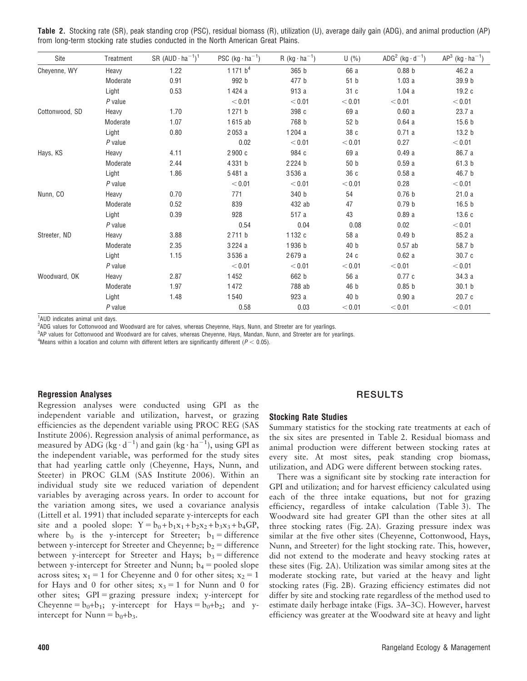|  |  | Table 2. Stocking rate (SR), peak standing crop (PSC), residual biomass (R), utilization (U), average daily gain (ADG), and animal production (AP) |  |  |  |  |  |  |  |  |
|--|--|----------------------------------------------------------------------------------------------------------------------------------------------------|--|--|--|--|--|--|--|--|
|  |  | from long-term stocking rate studies conducted in the North American Great Plains.                                                                 |  |  |  |  |  |  |  |  |

| Site           | Treatment | SR $(AUD \cdot ha^{-1})^1$ | PSC $(kg \cdot ha^{-1})$ | R $(kg \cdot ha^{-1})$ | U(%)   | ADG <sup>2</sup> (kg $\cdot$ d <sup>-1</sup> ) | $AP^3$ (kg $\cdot$ ha <sup>-1</sup> ) |
|----------------|-----------|----------------------------|--------------------------|------------------------|--------|------------------------------------------------|---------------------------------------|
| Cheyenne, WY   | Heavy     | 1.22                       | 1171 $b^4$               | 365 b                  | 66 a   | 0.88 <sub>b</sub>                              | 46.2 a                                |
|                | Moderate  | 0.91                       | 992 b                    | 477 b                  | 51 b   | 1.03a                                          | 39.9 b                                |
|                | Light     | 0.53                       | 1424 a                   | 913 a                  | 31 c   | 1.04a                                          | 19.2 c                                |
|                | $P$ value |                            | < 0.01                   | < 0.01                 | < 0.01 | < 0.01                                         | < 0.01                                |
| Cottonwood, SD | Heavy     | 1.70                       | 1271 b                   | 398 c                  | 69 a   | 0.60a                                          | 23.7 a                                |
|                | Moderate  | 1.07                       | 1615 ab                  | 768 b                  | 52 b   | 0.64a                                          | 15.6 <sub>b</sub>                     |
|                | Light     | 0.80                       | 2053 a                   | 1204 a                 | 38 c   | 0.71a                                          | 13.2 <sub>b</sub>                     |
|                | $P$ value |                            | 0.02                     | < 0.01                 | < 0.01 | 0.27                                           | < 0.01                                |
| Hays, KS       | Heavy     | 4.11                       | 2900 c                   | 984 c                  | 69 a   | 0.49a                                          | 86.7 a                                |
|                | Moderate  | 2.44                       | 4331 b                   | 2224 b                 | 50 b   | 0.59a                                          | 61.3 b                                |
|                | Light     | 1.86                       | 5481 a                   | 3536 a                 | 36 c   | 0.58a                                          | 46.7 b                                |
|                | $P$ value |                            | < 0.01                   | < 0.01                 | < 0.01 | 0.28                                           | < 0.01                                |
| Nunn, CO       | Heavy     | 0.70                       | 771                      | 340 b                  | 54     | 0.76 <sub>b</sub>                              | 21.0a                                 |
|                | Moderate  | 0.52                       | 839                      | 432 ab                 | 47     | 0.79 <sub>b</sub>                              | 16.5 <sub>b</sub>                     |
|                | Light     | 0.39                       | 928                      | 517 a                  | 43     | 0.89a                                          | 13.6c                                 |
|                | $P$ value |                            | 0.54                     | 0.04                   | 0.08   | 0.02                                           | < 0.01                                |
| Streeter, ND   | Heavy     | 3.88                       | 2711 b                   | 1132 c                 | 58 a   | 0.49 <sub>b</sub>                              | 85.2 a                                |
|                | Moderate  | 2.35                       | 3224 a                   | 1936 b                 | 40 b   | $0.57$ ab                                      | 58.7 b                                |
|                | Light     | 1.15                       | 3536 a                   | 2679 a                 | 24 c   | 0.62a                                          | 30.7 c                                |
|                | $P$ value |                            | < 0.01                   | < 0.01                 | < 0.01 | < 0.01                                         | < 0.01                                |
| Woodward, OK   | Heavy     | 2.87                       | 1452                     | 662 b                  | 56 a   | 0.77c                                          | 34.3 a                                |
|                | Moderate  | 1.97                       | 1472                     | 788 ab                 | 46 b   | 0.85 <sub>b</sub>                              | 30.1 <sub>b</sub>                     |
|                | Light     | 1.48                       | 1540                     | 923 a                  | 40 b   | 0.90a                                          | 20.7c                                 |
|                | $P$ value |                            | 0.58                     | 0.03                   | < 0.01 | < 0.01                                         | < 0.01                                |

1 AUD indicates animal unit days.

2 ADG values for Cottonwood and Woodward are for calves, whereas Cheyenne, Hays, Nunn, and Streeter are for yearlings.

3 AP values for Cottonwood and Woodward are for calves, whereas Cheyenne, Hays, Mandan, Nunn, and Streeter are for yearlings.

<sup>4</sup> Means within a location and column with different letters are significantly different ( $P < 0.05$ ).

#### Regression Analyses

Regression analyses were conducted using GPI as the independent variable and utilization, harvest, or grazing efficiencies as the dependent variable using PROC REG (SAS Institute 2006). Regression analysis of animal performance, as measured by ADG (kg·d<sup>-1</sup>) and gain (kg·ha<sup>-1</sup>), using GPI as the independent variable, was performed for the study sites that had yearling cattle only (Cheyenne, Hays, Nunn, and Steeter) in PROC GLM (SAS Institute 2006). Within an individual study site we reduced variation of dependent variables by averaging across years. In order to account for the variation among sites, we used a covariance analysis (Littell et al. 1991) that included separate y-intercepts for each site and a pooled slope:  $Y = b_0 + b_1x_1 + b_2x_2 + b_3x_3 + b_4GP$ , where  $b_0$  is the y-intercept for Streeter;  $b_1 =$  difference between y-intercept for Streeter and Cheyenne;  $b_2 =$  difference between y-intercept for Streeter and Hays;  $b_3 =$  difference between y-intercept for Streeter and Nunn;  $b_4$  = pooled slope across sites;  $x_1 = 1$  for Cheyenne and 0 for other sites;  $x_2 = 1$ for Hays and 0 for other sites;  $x_3 = 1$  for Nunn and 0 for other sites; GPI = grazing pressure index; y-intercept for Cheyenne =  $b_0+b_1$ ; y-intercept for Hays =  $b_0+b_2$ ; and yintercept for Nunn =  $b_0+b_3$ .

## RESULTS

#### Stocking Rate Studies

Summary statistics for the stocking rate treatments at each of the six sites are presented in Table 2. Residual biomass and animal production were different between stocking rates at every site. At most sites, peak standing crop biomass, utilization, and ADG were different between stocking rates.

There was a significant site by stocking rate interaction for GPI and utilization; and for harvest efficiency calculated using each of the three intake equations, but not for grazing efficiency, regardless of intake calculation (Table 3). The Woodward site had greater GPI than the other sites at all three stocking rates (Fig. 2A). Grazing pressure index was similar at the five other sites (Cheyenne, Cottonwood, Hays, Nunn, and Streeter) for the light stocking rate. This, however, did not extend to the moderate and heavy stocking rates at these sites (Fig. 2A). Utilization was similar among sites at the moderate stocking rate, but varied at the heavy and light stocking rates (Fig. 2B). Grazing efficiency estimates did not differ by site and stocking rate regardless of the method used to estimate daily herbage intake (Figs. 3A–3C). However, harvest efficiency was greater at the Woodward site at heavy and light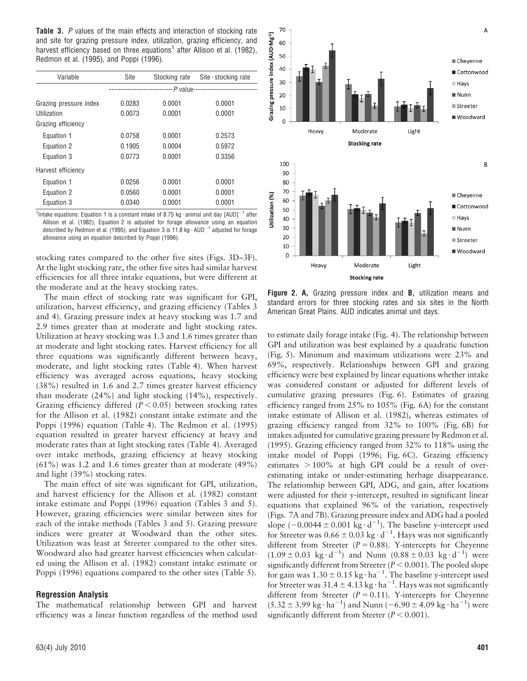Table 3. P values of the main effects and interaction of stocking rate and site for grazing pressure index, utilization, grazing efficiency, and harvest efficiency based on three equations<sup>1</sup> after Allison et al. (1982), Redmon et al. (1995), and Poppi (1996).

| Variable               | Site   | Stocking rate | Site $\cdot$ stocking rate |
|------------------------|--------|---------------|----------------------------|
|                        |        |               |                            |
| Grazing pressure index | 0.0283 | 0.0001        | 0.0001                     |
| Utilization            | 0.0073 | 0.0001        | 0.0001                     |
| Grazing efficiency     |        |               |                            |
| Equation 1             | 0.0758 | 0.0001        | 0.2573                     |
| Equation 2             | 0.1905 | 0.0004        | 0.5972                     |
| Equation 3             | 0.0773 | 0.0001        | 0.3356                     |
| Harvest efficiency     |        |               |                            |
| Equation 1             | 0.0256 | 0.0001        | 0.0001                     |
| Equation 2             | 0.0560 | 0.0001        | 0.0001                     |
| Equation 3             | 0.0340 | 0.0001        | 0.0001                     |

<sup>1</sup>Intake equations: Equation 1 is a constant intake of 8.75 kg  $\cdot$  animal unit day  ${\small [AUD]^{-1}}$  after Allison et al. (1982), Equation 2 is adjusted for forage allowance using an equation described by Redmon et al. (1995), and Equation 3 is 11.8 kg  $\cdot$  AUD<sup>-1</sup> adjusted for forage allowance using an equation described by Poppi (1996).

stocking rates compared to the other five sites (Figs. 3D–3F). At the light stocking rate, the other five sites had similar harvest efficiencies for all three intake equations, but were different at the moderate and at the heavy stocking rates.

The main effect of stocking rate was significant for GPI, utilization, harvest efficiency, and grazing efficiency (Tables 3 and 4). Grazing pressure index at heavy stocking was 1.7 and 2.9 times greater than at moderate and light stocking rates. Utilization at heavy stocking was 1.3 and 1.6 times greater than at moderate and light stocking rates. Harvest efficiency for all three equations was significantly different between heavy, moderate, and light stocking rates (Table 4). When harvest efficiency was averaged across equations, heavy stocking (38%) resulted in 1.6 and 2.7 times greater harvest efficiency than moderate (24%) and light stocking (14%), respectively. Grazing efficiency differed  $(P < 0.05)$  between stocking rates for the Allison et al. (1982) constant intake estimate and the Poppi (1996) equation (Table 4). The Redmon et al. (1995) equation resulted in greater harvest efficiency at heavy and moderate rates than at light stocking rates (Table 4). Averaged over intake methods, grazing efficiency at heavy stocking (61%) was 1.2 and 1.6 times greater than at moderate (49%) and light (39%) stocking rates.

The main effect of site was significant for GPI, utilization, and harvest efficiency for the Allison et al. (1982) constant intake estimate and Poppi (1996) equation (Tables 3 and 5). However, grazing efficiencies were similar between sites for each of the intake methods (Tables 3 and 5). Grazing pressure indices were greater at Woodward than the other sites. Utilization was least at Streeter compared to the other sites. Woodward also had greater harvest efficiencies when calculated using the Allison et al. (1982) constant intake estimate or Poppi (1996) equations compared to the other sites (Table 5).

#### Regression Analysis

The mathematical relationship between GPI and harvest efficiency was a linear function regardless of the method used



Figure 2. A, Grazing pressure index and B, utilization means and standard errors for three stocking rates and six sites in the North American Great Plains. AUD indicates animal unit days.

to estimate daily forage intake (Fig. 4). The relationship between GPI and utilization was best explained by a quadratic function (Fig. 5). Minimum and maximum utilizations were 23% and 69%, respectively. Relationships between GPI and grazing efficiency were best explained by linear equations whether intake was considered constant or adjusted for different levels of cumulative grazing pressures (Fig. 6). Estimates of grazing efficiency ranged from 25% to 105% (Fig. 6A) for the constant intake estimate of Allison et al. (1982), whereas estimates of grazing efficiency ranged from 32% to 100% (Fig. 6B) for intakes adjusted for cumulative grazing pressure by Redmon et al. (1995). Grazing efficiency ranged from 32% to 118% using the intake model of Poppi (1996; Fig. 6C). Grazing efficiency estimates  $> 100\%$  at high GPI could be a result of overestimating intake or under-estimating herbage disappearance. The relationship between GPI, ADG, and gain, after locations were adjusted for their y-intercept, resulted in significant linear equations that explained 96% of the variation, respectively (Figs. 7A and 7B). Grazing pressure index and ADG had a pooled slope  $(-0.0044 \pm 0.001 \text{ kg} \cdot \text{d}^{-1})$ . The baseline y-intercept used for Streeter was  $0.66 \pm 0.03$  kg $\cdot$  d<sup>-1</sup>. Hays was not significantly different from Streeter ( $P = 0.88$ ). Y-intercepts for Cheyenne  $(1.09 \pm 0.03 \text{ kg} \cdot \text{d}^{-1})$  and Nunn  $(0.88 \pm 0.03 \text{ kg} \cdot \text{d}^{-1})$  were significantly different from Streeter ( $P < 0.001$ ). The pooled slope for gain was  $1.30 \pm 0.15$  kg $\cdot$  ha<sup>-1</sup>. The baseline y-intercept used for Streeter was 31.4  $\pm$  4.13 kg  $\cdot$  ha<sup>-1</sup>. Hays was not significantly different from Streeter ( $P = 0.11$ ). Y-intercepts for Cheyenne  $(5.32 \pm 3.99 \text{ kg} \cdot \text{ha}^{-1})$  and Nunn  $(-6.90 \pm 4.09 \text{ kg} \cdot \text{ha}^{-1})$  were significantly different from Steeter ( $P < 0.001$ ).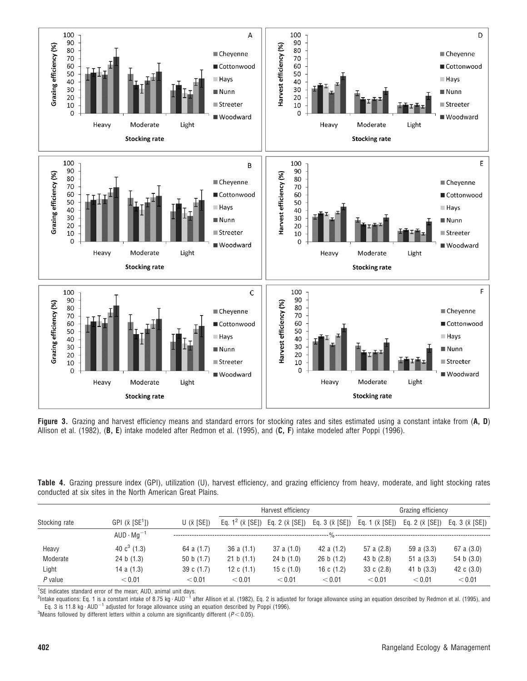

Figure 3. Grazing and harvest efficiency means and standard errors for stocking rates and sites estimated using a constant intake from (A, D) Allison et al. (1982), (B, E) intake modeled after Redmon et al. (1995), and (C, F) intake modeled after Poppi (1996).

|  |  |                                                            |  |  |  |  | Table 4. Grazing pressure index (GPI), utilization (U), harvest efficiency, and grazing efficiency from heavy, moderate, and light stocking rates |  |  |
|--|--|------------------------------------------------------------|--|--|--|--|---------------------------------------------------------------------------------------------------------------------------------------------------|--|--|
|  |  | conducted at six sites in the North American Great Plains. |  |  |  |  |                                                                                                                                                   |  |  |

|               |                                    |                   |                             | Harvest efficiency     |                        | Grazing efficiency                  |                         |                        |  |
|---------------|------------------------------------|-------------------|-----------------------------|------------------------|------------------------|-------------------------------------|-------------------------|------------------------|--|
| Stocking rate | GPI $(\bar{x}$ [SE <sup>1</sup> ]) | $U(\bar{x}$ [SE]) | Eq. $1^2$ ( $\bar{x}$ [SE]) | Eq. 2 $(\bar{x}$ [SE]) | Eq. 3 $(\bar{x}$ [SE]) | Eq. 1 $(\bar{x}$ [SE])              | Eq. 2 ( $\bar{x}$ [SE]) | Eq. 3 $(\bar{x}$ [SE]) |  |
|               | $AUD \cdot Ma^{-1}$                |                   |                             |                        |                        | $-$ % ----------------------------- |                         |                        |  |
| Heavy         | 40 $c^3$ (1.3)                     | 64 a (1.7)        | 36 a $(1.1)$                | 37a(1.0)               | 42 a (1.2)             | 57 a (2.8)                          | 59 a (3.3)              | 67 a (3.0)             |  |
| Moderate      | 24 b (1.3)                         | 50 b $(1.7)$      | 21 b (1.1)                  | 24 b (1.0)             | 26 b (1.2)             | 43 b $(2.8)$                        | 51 a $(3.3)$            | 54 b $(3.0)$           |  |
| Light         | 14 a $(1.3)$                       | 39 c (1.7)        | 12 c $(1.1)$                | 15 c $(1.0)$           | 16 c $(1.2)$           | 33 c $(2.8)$                        | 41 b $(3.3)$            | 42 c $(3.0)$           |  |
| $P$ value     | < 0.01                             | < 0.01            | < 0.01                      | < 0.01                 | < 0.01                 | < 0.01                              | < 0.01                  | < 0.01                 |  |

<sup>1</sup>SE indicates standard error of the mean; AUD, animal unit days.<br><sup>2</sup>Intake equations: Eq. 1 is a constant intake of 8.75 kg · AUD<sup>—1</sup> after Allison et al. (1982), Eq. 2 is adjusted for forage allowance using an equation Eq. 3 is 11.8 kg  $\cdot$  AUD<sup>-1</sup> adjusted for forage allowance using an equation described by Poppi (1996).

<sup>3</sup>Means followed by different letters within a column are significantly different ( $P < 0.05$ ).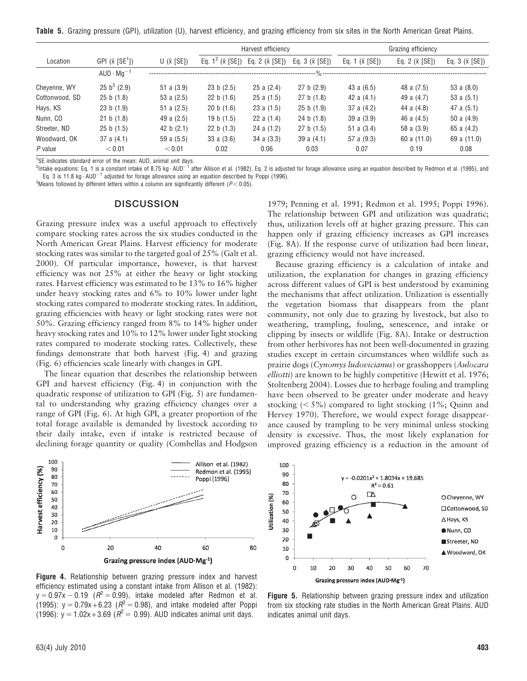Table 5. Grazing pressure (GPI), utilization (U), harvest efficiency, and grazing efficiency from six sites in the North American Great Plains.

|                |                                    |                    |                             | Harvest efficiency     |                       |                        | Grazing efficiency     |                       |  |
|----------------|------------------------------------|--------------------|-----------------------------|------------------------|-----------------------|------------------------|------------------------|-----------------------|--|
| Location       | GPI $(\bar{x}$ [SE <sup>1</sup> ]) | U $(\bar{x}$ [SE]) | Eq. $1^2$ ( $\bar{x}$ [SE]) | Eq. 2 $(\bar{x}$ [SE]) | Eq. $3(\bar{x}$ [SE]) | Eq. 1 $(\bar{x}$ [SE]) | Eq. 2 $(\bar{x}$ [SE]) | Eq. $3(\bar{x} [SE])$ |  |
|                | $AUD \cdot mq^{-1}$                |                    |                             |                        | --- % ---             |                        |                        |                       |  |
| Chevenne, WY   | 25 b <sup>3</sup> (2.9)            | 51 a $(3.9)$       | 23 b (2.5)                  | 25a(2.4)               | 27 b (2.9)            | 43 a $(6.5)$           | 48 a (7.5)             | 53 a $(8.0)$          |  |
| Cottonwood, SD | 25 b (1.8)                         | 53 a $(2.5)$       | 22 b (1.6)                  | 25a(1.5)               | 27 b (1.8)            | 42 a $(4.1)$           | 49 a (4.7)             | 53 a $(5.1)$          |  |
| Hays, KS       | 23 b (1.9)                         | 51 a $(2.5)$       | 20 b (1.6)                  | 23a(1.5)               | 25 b (1.9)            | 37 a $(4.2)$           | 44 a (4.8)             | 47 a $(5.1)$          |  |
| Nunn, CO       | 21 b (1.8)                         | 49 a $(2.5)$       | 19 b $(1.5)$                | 22 a $(1.4)$           | 24 b (1.8)            | 39a(3.9)               | 46 a $(4.5)$           | 50 a $(4.9)$          |  |
| Streeter, ND   | 25 b (1.5)                         | 42 b $(2.1)$       | 22 b $(1.3)$                | 24 a $(1.2)$           | 27 b (1.5)            | 51 a $(3.4)$           | 58 a (3.9)             | 65 a $(4.2)$          |  |
| Woodward, OK   | 37 a $(4.1)$                       | 59 a $(5.5)$       | 33a(3.6)                    | 34a(3.3)               | 39 a $(4.1)$          | 57 a (9.3)             | 60 a $(11.0)$          | 69 a (11.0)           |  |
| $P$ value      | < 0.01                             | < 0.01             | 0.02                        | 0.06                   | 0.03                  | 0.07                   | 0.19                   | 0.08                  |  |

<sup>1</sup>SE indicates standard error of the mean; AUD, animal unit days.

 $^2$ Intake equations: Eq. 1 is a constant intake of 8.75 kg  $\cdot$  AUD $^{-1}$  after Allison et al. (1982), Eq. 2 is adjusted for forage allowance using an equation described by Redmon et al. (1995), and Eq. 3 is 11.8 kg  $\cdot$  AUD<sup>-1</sup> adjusted for forage allowance using an equation described by Poppi (1996).

<sup>3</sup>Means followed by different letters within a column are significantly different ( $P$  < 0.05).

#### **DISCUSSION**

Grazing pressure index was a useful approach to effectively compare stocking rates across the six studies conducted in the North American Great Plains. Harvest efficiency for moderate stocking rates was similar to the targeted goal of 25% (Galt et al. 2000). Of particular importance, however, is that harvest efficiency was not 25% at either the heavy or light stocking rates. Harvest efficiency was estimated to be 13% to 16% higher under heavy stocking rates and 6% to 10% lower under light stocking rates compared to moderate stocking rates. In addition, grazing efficiencies with heavy or light stocking rates were not 50%. Grazing efficiency ranged from 8% to 14% higher under heavy stocking rates and 10% to 12% lower under light stocking rates compared to moderate stocking rates. Collectively, these findings demonstrate that both harvest (Fig. 4) and grazing (Fig. 6) efficiencies scale linearly with changes in GPI.

The linear equation that describes the relationship between GPI and harvest efficiency (Fig. 4) in conjunction with the quadratic response of utilization to GPI (Fig. 5) are fundamental to understanding why grazing efficiency changes over a range of GPI (Fig. 6). At high GPI, a greater proportion of the total forage available is demanded by livestock according to their daily intake, even if intake is restricted because of declining forage quantity or quality (Combellas and Hodgson



Figure 4. Relationship between grazing pressure index and harvest efficiency estimated using a constant intake from Allison et al. (1982):  $y = 0.97x - 0.19$  ( $R<sup>2</sup> = 0.99$ ), intake modeled after Redmon et al. (1995):  $y = 0.79x + 6.23$  ( $R^2 = 0.98$ ), and intake modeled after Poppi (1996):  $y = 1.02x + 3.69$  ( $R^2 = 0.99$ ). AUD indicates animal unit days.

1979; Penning et al. 1991; Redmon et al. 1995; Poppi 1996). The relationship between GPI and utilization was quadratic; thus, utilization levels off at higher grazing pressure. This can happen only if grazing efficiency increases as GPI increases (Fig. 8A). If the response curve of utilization had been linear, grazing efficiency would not have increased.

Because grazing efficiency is a calculation of intake and utilization, the explanation for changes in grazing efficiency across different values of GPI is best understood by examining the mechanisms that affect utilization. Utilization is essentially the vegetation biomass that disappears from the plant community, not only due to grazing by livestock, but also to weathering, trampling, fouling, senescence, and intake or clipping by insects or wildlife (Fig. 8A). Intake or destruction from other herbivores has not been well-documented in grazing studies except in certain circumstances when wildlife such as prairie dogs (Cynomys ludovicianus) or grasshoppers (Aulocara elliotti) are known to be highly competitive (Hewitt et al. 1976; Stoltenberg 2004). Losses due to herbage fouling and trampling have been observed to be greater under moderate and heavy stocking  $\langle$  5%) compared to light stocking  $(1\%;$  Quinn and Hervey 1970). Therefore, we would expect forage disappearance caused by trampling to be very minimal unless stocking density is excessive. Thus, the most likely explanation for improved grazing efficiency is a reduction in the amount of



Figure 5. Relationship between grazing pressure index and utilization from six stocking rate studies in the North American Great Plains. AUD indicates animal unit days.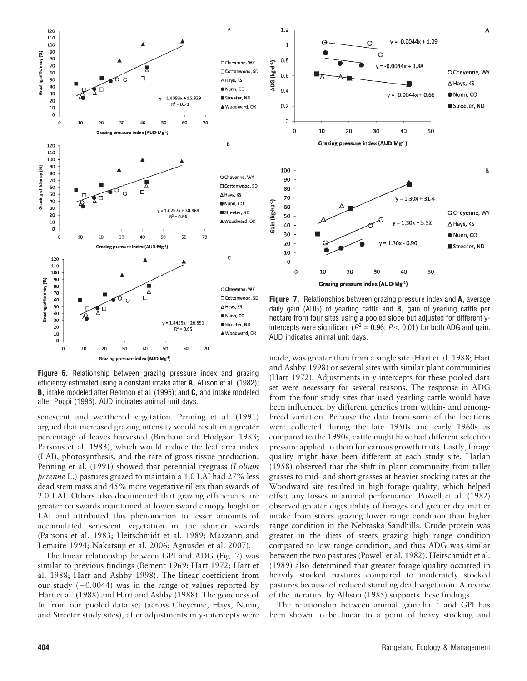

Figure 6. Relationship between grazing pressure index and grazing efficiency estimated using a constant intake after A, Allison et al. (1982); **B**, intake modeled after Redmon et al. (1995); and **C**, and intake modeled after Poppi (1996). AUD indicates animal unit days.

senescent and weathered vegetation. Penning et al. (1991) argued that increased grazing intensity would result in a greater percentage of leaves harvested (Bircham and Hodgson 1983; Parsons et al. 1983), which would reduce the leaf area index (LAI), photosynthesis, and the rate of gross tissue production. Penning et al. (1991) showed that perennial ryegrass (Lolium perenne L.) pastures grazed to maintain a 1.0 LAI had 27% less dead stem mass and 45% more vegetative tillers than swards of 2.0 LAI. Others also documented that grazing efficiencies are greater on swards maintained at lower sward canopy height or LAI and attributed this phenomenon to lesser amounts of accumulated senescent vegetation in the shorter swards (Parsons et al. 1983; Heitschmidt et al. 1989; Mazzanti and Lemaire 1994; Nakatsuji et al. 2006; Agnusdei et al. 2007).

The linear relationship between GPI and ADG (Fig. 7) was similar to previous findings (Bement 1969; Hart 1972; Hart et al. 1988; Hart and Ashby 1998). The linear coefficient from our study  $(-0.0044)$  was in the range of values reported by Hart et al. (1988) and Hart and Ashby (1988). The goodness of fit from our pooled data set (across Cheyenne, Hays, Nunn, and Streeter study sites), after adjustments in y-intercepts were



Figure 7. Relationships between grazing pressure index and A, average daily gain (ADG) of yearling cattle and B, gain of yearling cattle per hectare from four sites using a pooled slope but adjusted for different yintercepts were significant ( $R^2 = 0.96$ ; P < 0.01) for both ADG and gain. AUD indicates animal unit days.

made, was greater than from a single site (Hart et al. 1988; Hart and Ashby 1998) or several sites with similar plant communities (Hart 1972). Adjustments in y-intercepts for these pooled data set were necessary for several reasons. The response in ADG from the four study sites that used yearling cattle would have been influenced by different genetics from within- and amongbreed variation. Because the data from some of the locations were collected during the late 1950s and early 1960s as compared to the 1990s, cattle might have had different selection pressure applied to them for various growth traits. Lastly, forage quality might have been different at each study site. Harlan (1958) observed that the shift in plant community from taller grasses to mid- and short grasses at heavier stocking rates at the Woodward site resulted in high forage quality, which helped offset any losses in animal performance. Powell et al. (1982) observed greater digestibility of forages and greater dry matter intake from steers grazing lower range condition than higher range condition in the Nebraska Sandhills. Crude protein was greater in the diets of steers grazing high range condition compared to low range condition, and thus ADG was similar between the two pastures (Powell et al. 1982). Heitschmidt et al. (1989) also determined that greater forage quality occurred in heavily stocked pastures compared to moderately stocked pastures because of reduced standing dead vegetation. A review of the literature by Allison (1985) supports these findings.

The relationship between animal gain  $\cdot$  ha<sup>-1</sup> and GPI has been shown to be linear to a point of heavy stocking and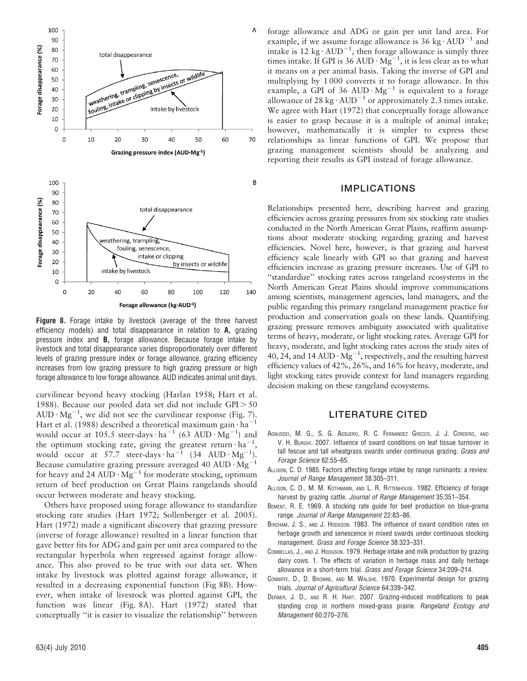

Figure 8. Forage intake by livestock (average of the three harvest efficiency models) and total disappearance in relation to A, grazing pressure index and B, forage allowance. Because forage intake by livestock and total disappearance varies disproportionately over different levels of grazing pressure index or forage allowance, grazing efficiency increases from low grazing pressure to high grazing pressure or high forage allowance to low forage allowance. AUD indicates animal unit days.

curvilinear beyond heavy stocking (Harlan 1958; Hart et al. 1988). Because our pooled data set did not include  $GPI > 50$ AUD  $\cdot$  Mg<sup>-1</sup>, we did not see the curvilinear response (Fig. 7). Hart et al. (1988) described a theoretical maximum gain  $\cdot$  ha<sup>-1</sup> would occur at 105.5 steer-days  $\cdot$  ha<sup>-1</sup> (63 AUD  $\cdot$  Mg<sup>-1</sup>) and the optimum stocking rate, giving the greatest return  $\cdot$  ha<sup>-1</sup>, would occur at 57.7 steer-days  $\text{ha}^{-1}$  (34 AUD  $\text{Mg}^{-1}$ ). Because cumulative grazing pressure averaged 40 AUD  $\cdot$  Mg<sup>-1</sup> for heavy and 24 AUD  $\cdot$  Mg<sup>-1</sup> for moderate stocking, optimum return of beef production on Great Plains rangelands should occur between moderate and heavy stocking.

Others have proposed using forage allowance to standardize stocking rate studies (Hart 1972; Sollenberger et al. 2005). Hart (1972) made a significant discovery that grazing pressure (inverse of forage allowance) resulted in a linear function that gave better fits for ADG and gain per unit area compared to the rectangular hyperbola when regressed against forage allowance. This also proved to be true with our data set. When intake by livestock was plotted against forage allowance, it resulted in a decreasing exponential function (Fig 8B). However, when intake of livestock was plotted against GPI, the function was linear (Fig. 8A). Hart (1972) stated that conceptually ''it is easier to visualize the relationship'' between

forage allowance and ADG or gain per unit land area. For example, if we assume forage allowance is  $36 \text{ kg} \cdot \text{AUD}^{-1}$  and intake is 12 kg $\cdot$  AUD<sup>-1</sup>, then forage allowance is simply three times intake. If GPI is 36 AUD  $\cdot$  Mg<sup>-1</sup>, it is less clear as to what it means on a per animal basis. Taking the inverse of GPI and multiplying by 1 000 converts it to forage allowance. In this example, a GPI of 36 AUD  $\cdot$  Mg<sup>-1</sup> is equivalent to a forage allowance of 28 kg $\cdot$  AUD<sup>-1</sup> or approximately 2.3 times intake. We agree with Hart (1972) that conceptually forage allowance is easier to grasp because it is a multiple of animal intake; however, mathematically it is simpler to express these relationships as linear functions of GPI. We propose that grazing management scientists should be analyzing and reporting their results as GPI instead of forage allowance.

#### IMPLICATIONS

Relationships presented here, describing harvest and grazing efficiencies across grazing pressures from six stocking rate studies conducted in the North American Great Plains, reaffirm assumptions about moderate stocking regarding grazing and harvest efficiencies. Novel here, however, is that grazing and harvest efficiency scale linearly with GPI so that grazing and harvest efficiencies increase as grazing pressure increases. Use of GPI to ''standardize'' stocking rates across rangeland ecosystems in the North American Great Plains should improve communications among scientists, management agencies, land managers, and the public regarding this primary rangeland management practice for production and conservation goals on these lands. Quantifying grazing pressure removes ambiguity associated with qualitative terms of heavy, moderate, or light stocking rates. Average GPI for heavy, moderate, and light stocking rates across the study sites of 40, 24, and 14 AUD  $\cdot$  Mg<sup>-1</sup>, respectively, and the resulting harvest efficiency values of 42%, 26%, and 16% for heavy, moderate, and light stocking rates provide context for land managers regarding decision making on these rangeland ecosystems.

#### LITERATURE CITED

- AGNUSDEI, M. G., S. G. ASSUERO, R. C. FERNANDEZ GRECCO, J. J. CORDERO, AND V. H. BURGHI. 2007. Influence of sward conditions on leaf tissue turnover in tall fescue and tall wheatgrass swards under continuous grazing. Grass and Forage Science 62:55–65.
- ALLISON, C. D. 1985. Factors affecting forage intake by range ruminants: a review. Journal of Range Management 38:305–311.
- ALLISON, C. D., M. M. KOTHMANN, AND L. R. RITTENHOUSE. 1982. Efficiency of forage harvest by grazing cattle. Journal of Range Management 35:351-354.
- BEMENT, R. E. 1969. A stocking rate guide for beef production on blue-grama range. Journal of Range Management 22:83–86.
- BIRCHAM, J. S., AND J. HODGSON. 1983. The influence of sward condition rates on herbage growth and senescence in mixed swards under continuous stocking management. Grass and Forage Science 38:323–331.
- COMBELLAS, J., AND J. HODGSON. 1979. Herbage intake and milk production by grazing dairy cows. 1. The effects of variation in herbage mass and daily herbage allowance in a short-term trial. Grass and Forage Science 34:209–214.
- CONNIFFE, D., D. BROWNE, AND M. WALSHE. 1970. Experimental design for grazing trials. Journal of Agricultural Science 64:339–342.
- DERNER, J. D., AND R. H. HART. 2007. Grazing-induced modifications to peak standing crop in northern mixed-grass prairie. Rangeland Ecology and Management 60:270–276.